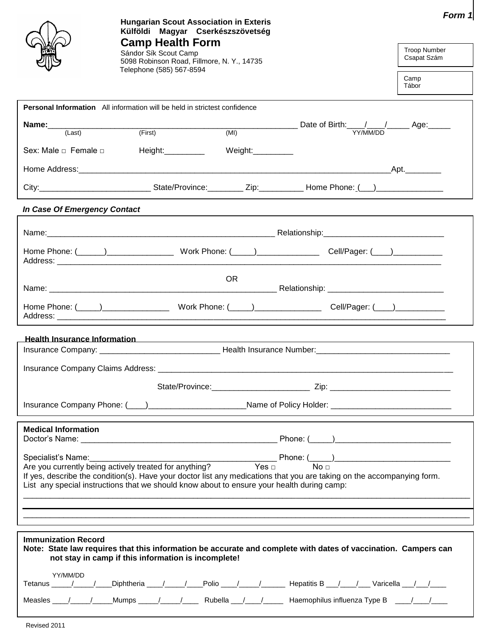|                                   | <b>Hungarian Scout Association in Exteris</b><br>Külföldi Magyar Cserkészszövetség                                                                                                                                                                                                                                                                                                     | Form 1                                              |  |
|-----------------------------------|----------------------------------------------------------------------------------------------------------------------------------------------------------------------------------------------------------------------------------------------------------------------------------------------------------------------------------------------------------------------------------------|-----------------------------------------------------|--|
|                                   | <b>Camp Health Form</b><br>Sándor Sík Scout Camp<br>5098 Robinson Road, Fillmore, N.Y., 14735                                                                                                                                                                                                                                                                                          | <b>Troop Number</b><br>Csapat Szám<br>Camp<br>Tábor |  |
|                                   | Telephone (585) 567-8594                                                                                                                                                                                                                                                                                                                                                               |                                                     |  |
|                                   | <b>Personal Information</b> All information will be held in strictest confidence                                                                                                                                                                                                                                                                                                       |                                                     |  |
|                                   | <b>Name:</b> $\frac{1}{\text{(Last)}}$ (First) $\frac{1}{\text{(First)}}$ (MI) Date of Birth: $\frac{1}{\text{YY/MM/DD}}$ Age:                                                                                                                                                                                                                                                         |                                                     |  |
| Sex: Male $\Box$ Female $\Box$    | Height:___________<br>Weight:__________                                                                                                                                                                                                                                                                                                                                                |                                                     |  |
|                                   |                                                                                                                                                                                                                                                                                                                                                                                        |                                                     |  |
|                                   | City:__________________________________State/Province:____________Zip:______________Home Phone: (___)_______________                                                                                                                                                                                                                                                                   |                                                     |  |
| In Case Of Emergency Contact      |                                                                                                                                                                                                                                                                                                                                                                                        |                                                     |  |
|                                   |                                                                                                                                                                                                                                                                                                                                                                                        |                                                     |  |
|                                   |                                                                                                                                                                                                                                                                                                                                                                                        |                                                     |  |
|                                   | OR.                                                                                                                                                                                                                                                                                                                                                                                    |                                                     |  |
|                                   |                                                                                                                                                                                                                                                                                                                                                                                        |                                                     |  |
|                                   | <u>Health Insurance Information and the control of the control of the control of the control of the control of the control of the control of the control of the control of the control of the control of the control of the cont</u>                                                                                                                                                   |                                                     |  |
|                                   |                                                                                                                                                                                                                                                                                                                                                                                        |                                                     |  |
| Insurance Company Claims Address: |                                                                                                                                                                                                                                                                                                                                                                                        |                                                     |  |
|                                   |                                                                                                                                                                                                                                                                                                                                                                                        |                                                     |  |
|                                   | Insurance Company Phone: (Company 2008) 2012 2022 2023 2024 2022 2023 2024 2022 2023 2024 2022 2023 2024 2022 2023 2024 2022 2023 2024 2022 2023 2024 2022 2023 2024 2023 2024 2023 2024 2023 2024 2023 2024 2023 2024 2023 20                                                                                                                                                         |                                                     |  |
| <b>Medical Information</b>        |                                                                                                                                                                                                                                                                                                                                                                                        |                                                     |  |
|                                   |                                                                                                                                                                                                                                                                                                                                                                                        |                                                     |  |
|                                   | Specialist's Name:<br>Are you currently being actively treated for anything?<br>Are you currently being actively treated for anything?<br>$Yes \Box$<br>$\Box$<br>If yes, describe the condition(s). Have your doctor list any medications that you are taking on the accompanying form.<br>List any special instructions that we should know about to ensure your health during camp: |                                                     |  |
|                                   |                                                                                                                                                                                                                                                                                                                                                                                        |                                                     |  |
|                                   |                                                                                                                                                                                                                                                                                                                                                                                        |                                                     |  |
|                                   |                                                                                                                                                                                                                                                                                                                                                                                        |                                                     |  |
| <b>Immunization Record</b>        | Note: State law requires that this information be accurate and complete with dates of vaccination. Campers can<br>not stay in camp if this information is incomplete!                                                                                                                                                                                                                  |                                                     |  |
| YY/MM/DD                          | Tetanus / / Diphtheria / / Polio / / / Hepatitis B / / Varicella / /                                                                                                                                                                                                                                                                                                                   |                                                     |  |